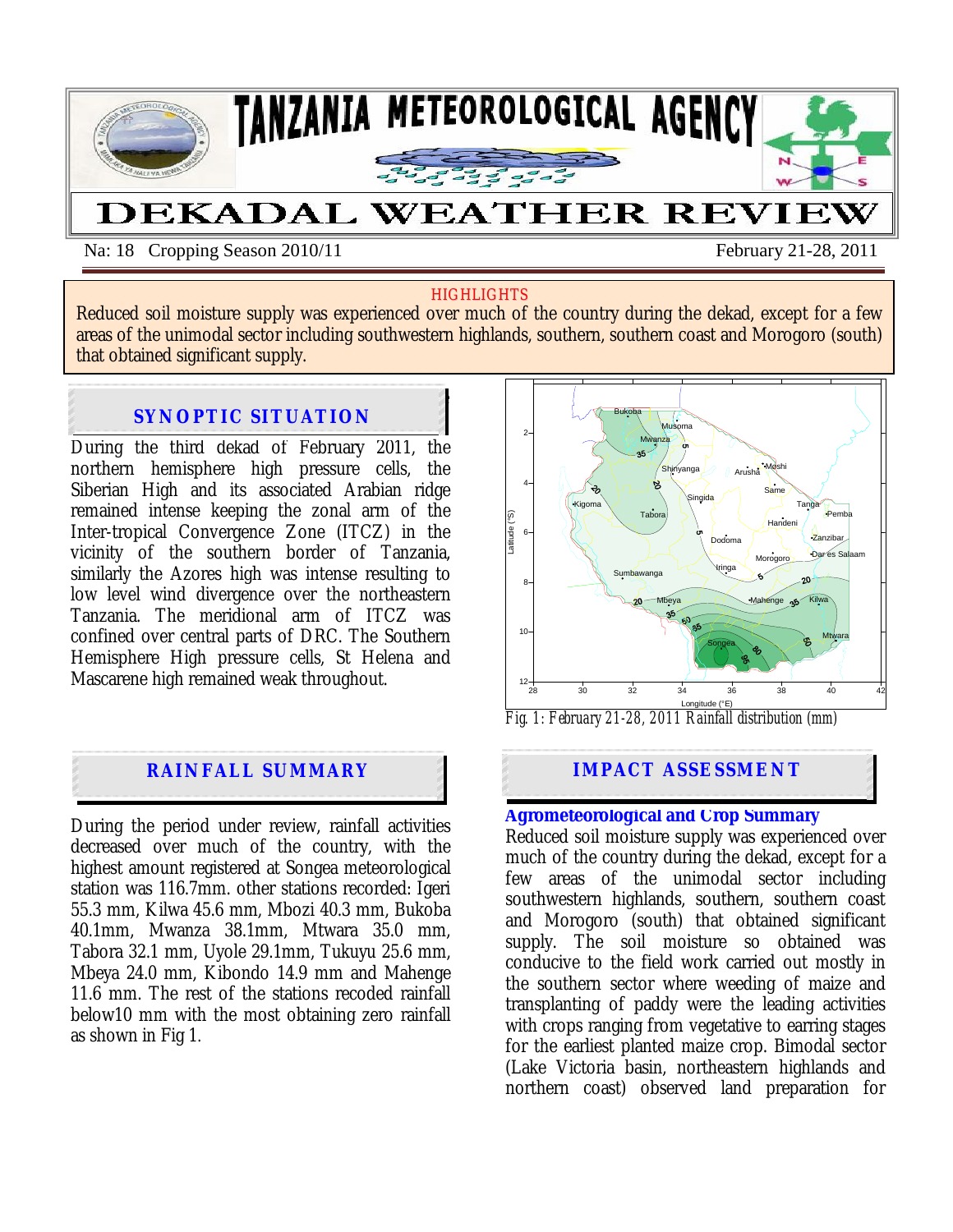

Na: 18 Cropping Season 2010/11 February 21-28, 2011

#### **HIGHLIGHTS**

Reduced soil moisture supply was experienced over much of the country during the dekad, except for a few areas of the unimodal sector including southwestern highlands, southern, southern coast and Morogoro (south) that obtained significant supply.

#### During the second dekad of February 2011*,* the **northern hemisphere is SYNOPTIC SITUATION**

During the third dekad of February 2011, the northern hemisphere high pressure cells, the Siberian High and its associated Arabian ridge remained intense keeping the zonal arm of the Inter-tropical Convergence Zone (ITCZ) in the vicinity of the southern border of Tanzania, similarly the Azores high was intense resulting to low level wind divergence over the northeastern Tanzania. The meridional arm of ITCZ was confined over central parts of DRC. The Southern Hemisphere High pressure cells, St Helena and Mascarene high remained weak throughout.

## **RAINFALL SUMMARY**

During the period under review, rainfall activities decreased over much of the country, with the highest amount registered at Songea meteorological station was 116.7mm. other stations recorded: Igeri 55.3 mm, Kilwa 45.6 mm, Mbozi 40.3 mm, Bukoba 40.1mm, Mwanza 38.1mm, Mtwara 35.0 mm, Tabora 32.1 mm, Uyole 29.1mm, Tukuyu 25.6 mm, Mbeya 24.0 mm, Kibondo 14.9 mm and Mahenge 11.6 mm. The rest of the stations recoded rainfall below10 mm with the most obtaining zero rainfall as shown in Fig 1.



*Fig. 1: February 21-28, 2011 Rainfall distribution (mm)*

# **IMPACT ASSESSMENT**

### **Agrometeorological and Crop Summary**

Reduced soil moisture supply was experienced over much of the country during the dekad, except for a few areas of the unimodal sector including southwestern highlands, southern, southern coast and Morogoro (south) that obtained significant supply. The soil moisture so obtained was conducive to the field work carried out mostly in the southern sector where weeding of maize and transplanting of paddy were the leading activities with crops ranging from vegetative to earring stages for the earliest planted maize crop. Bimodal sector (Lake Victoria basin, northeastern highlands and northern coast) observed land preparation for